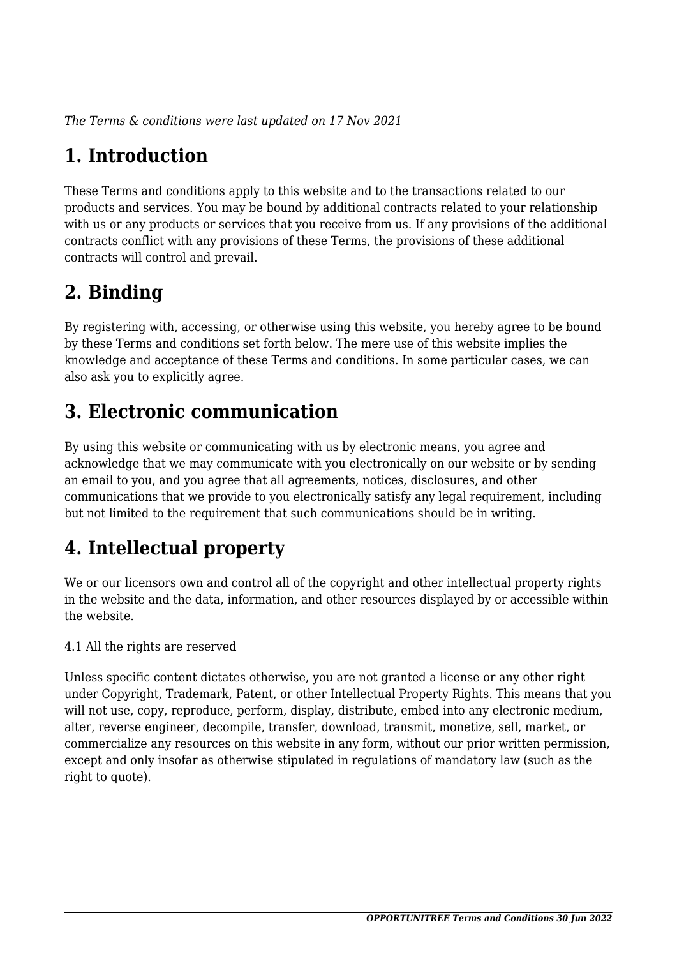*The Terms & conditions were last updated on 17 Nov 2021*

# **1. Introduction**

These Terms and conditions apply to this website and to the transactions related to our products and services. You may be bound by additional contracts related to your relationship with us or any products or services that you receive from us. If any provisions of the additional contracts conflict with any provisions of these Terms, the provisions of these additional contracts will control and prevail.

## **2. Binding**

By registering with, accessing, or otherwise using this website, you hereby agree to be bound by these Terms and conditions set forth below. The mere use of this website implies the knowledge and acceptance of these Terms and conditions. In some particular cases, we can also ask you to explicitly agree.

## **3. Electronic communication**

By using this website or communicating with us by electronic means, you agree and acknowledge that we may communicate with you electronically on our website or by sending an email to you, and you agree that all agreements, notices, disclosures, and other communications that we provide to you electronically satisfy any legal requirement, including but not limited to the requirement that such communications should be in writing.

# **4. Intellectual property**

We or our licensors own and control all of the copyright and other intellectual property rights in the website and the data, information, and other resources displayed by or accessible within the website.

4.1 All the rights are reserved

Unless specific content dictates otherwise, you are not granted a license or any other right under Copyright, Trademark, Patent, or other Intellectual Property Rights. This means that you will not use, copy, reproduce, perform, display, distribute, embed into any electronic medium, alter, reverse engineer, decompile, transfer, download, transmit, monetize, sell, market, or commercialize any resources on this website in any form, without our prior written permission, except and only insofar as otherwise stipulated in regulations of mandatory law (such as the right to quote).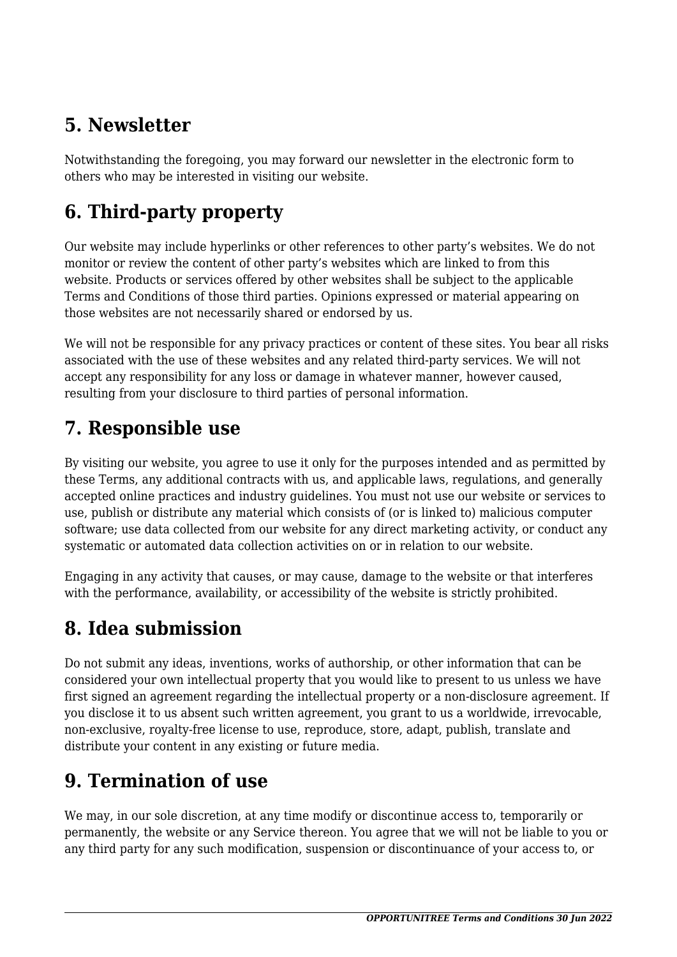## **5. Newsletter**

Notwithstanding the foregoing, you may forward our newsletter in the electronic form to others who may be interested in visiting our website.

# **6. Third-party property**

Our website may include hyperlinks or other references to other party's websites. We do not monitor or review the content of other party's websites which are linked to from this website. Products or services offered by other websites shall be subject to the applicable Terms and Conditions of those third parties. Opinions expressed or material appearing on those websites are not necessarily shared or endorsed by us.

We will not be responsible for any privacy practices or content of these sites. You bear all risks associated with the use of these websites and any related third-party services. We will not accept any responsibility for any loss or damage in whatever manner, however caused, resulting from your disclosure to third parties of personal information.

### **7. Responsible use**

By visiting our website, you agree to use it only for the purposes intended and as permitted by these Terms, any additional contracts with us, and applicable laws, regulations, and generally accepted online practices and industry guidelines. You must not use our website or services to use, publish or distribute any material which consists of (or is linked to) malicious computer software; use data collected from our website for any direct marketing activity, or conduct any systematic or automated data collection activities on or in relation to our website.

Engaging in any activity that causes, or may cause, damage to the website or that interferes with the performance, availability, or accessibility of the website is strictly prohibited.

## **8. Idea submission**

Do not submit any ideas, inventions, works of authorship, or other information that can be considered your own intellectual property that you would like to present to us unless we have first signed an agreement regarding the intellectual property or a non-disclosure agreement. If you disclose it to us absent such written agreement, you grant to us a worldwide, irrevocable, non-exclusive, royalty-free license to use, reproduce, store, adapt, publish, translate and distribute your content in any existing or future media.

## **9. Termination of use**

We may, in our sole discretion, at any time modify or discontinue access to, temporarily or permanently, the website or any Service thereon. You agree that we will not be liable to you or any third party for any such modification, suspension or discontinuance of your access to, or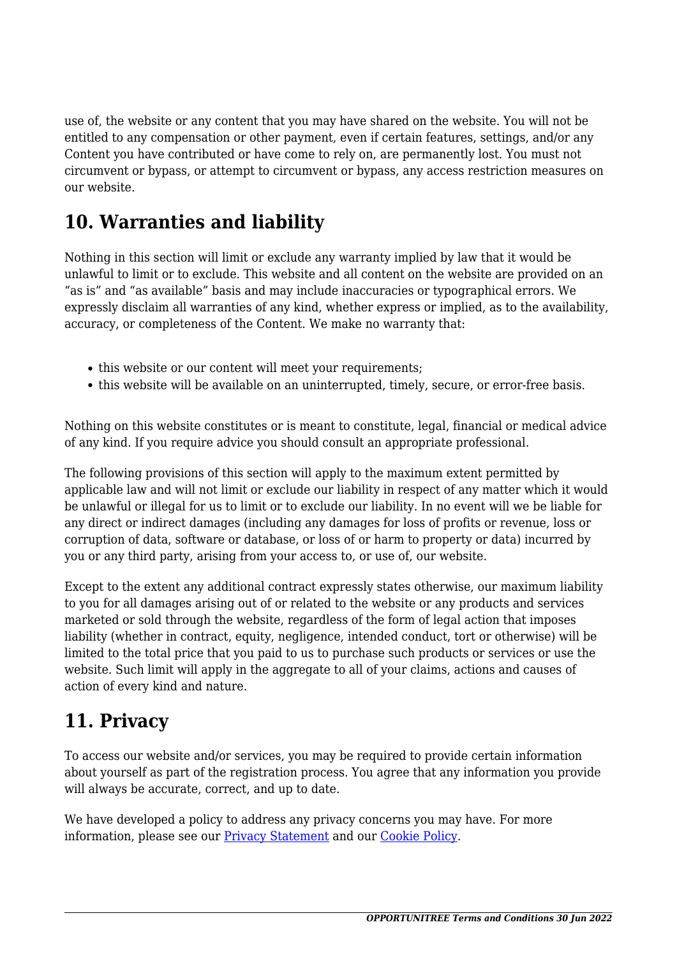use of, the website or any content that you may have shared on the website. You will not be entitled to any compensation or other payment, even if certain features, settings, and/or any Content you have contributed or have come to rely on, are permanently lost. You must not circumvent or bypass, or attempt to circumvent or bypass, any access restriction measures on our website.

### **10. Warranties and liability**

Nothing in this section will limit or exclude any warranty implied by law that it would be unlawful to limit or to exclude. This website and all content on the website are provided on an "as is" and "as available" basis and may include inaccuracies or typographical errors. We expressly disclaim all warranties of any kind, whether express or implied, as to the availability, accuracy, or completeness of the Content. We make no warranty that:

- this website or our content will meet your requirements;
- this website will be available on an uninterrupted, timely, secure, or error-free basis.

Nothing on this website constitutes or is meant to constitute, legal, financial or medical advice of any kind. If you require advice you should consult an appropriate professional.

The following provisions of this section will apply to the maximum extent permitted by applicable law and will not limit or exclude our liability in respect of any matter which it would be unlawful or illegal for us to limit or to exclude our liability. In no event will we be liable for any direct or indirect damages (including any damages for loss of profits or revenue, loss or corruption of data, software or database, or loss of or harm to property or data) incurred by you or any third party, arising from your access to, or use of, our website.

Except to the extent any additional contract expressly states otherwise, our maximum liability to you for all damages arising out of or related to the website or any products and services marketed or sold through the website, regardless of the form of legal action that imposes liability (whether in contract, equity, negligence, intended conduct, tort or otherwise) will be limited to the total price that you paid to us to purchase such products or services or use the website. Such limit will apply in the aggregate to all of your claims, actions and causes of action of every kind and nature.

### **11. Privacy**

To access our website and/or services, you may be required to provide certain information about yourself as part of the registration process. You agree that any information you provide will always be accurate, correct, and up to date.

We have developed a policy to address any privacy concerns you may have. For more information, please see our **Privacy Statement** and our **[Cookie Policy](#page--1-0)**.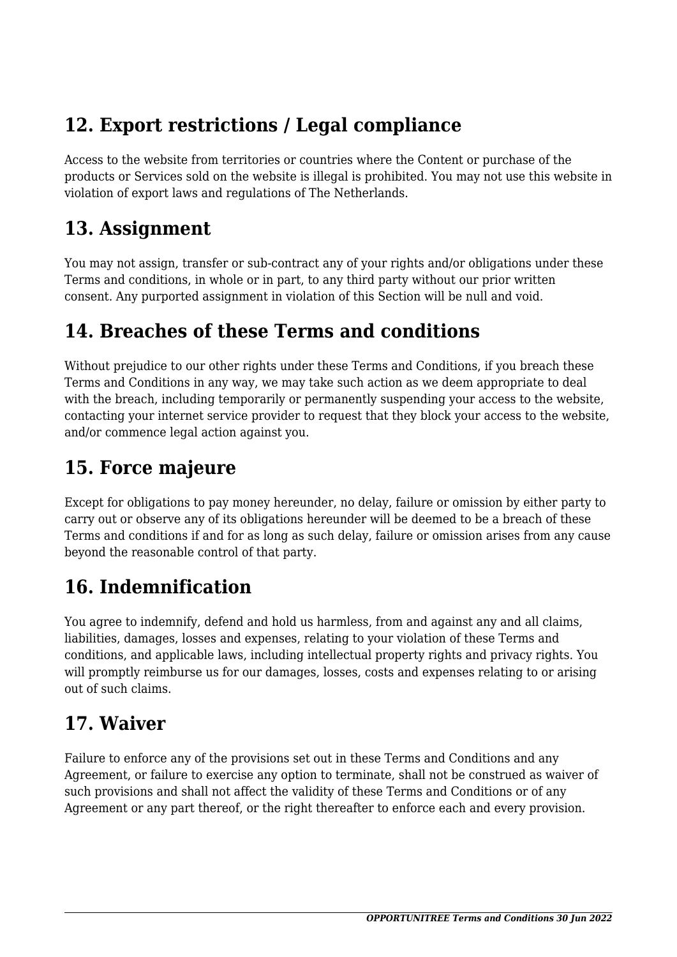## **12. Export restrictions / Legal compliance**

Access to the website from territories or countries where the Content or purchase of the products or Services sold on the website is illegal is prohibited. You may not use this website in violation of export laws and regulations of The Netherlands.

#### **13. Assignment**

You may not assign, transfer or sub-contract any of your rights and/or obligations under these Terms and conditions, in whole or in part, to any third party without our prior written consent. Any purported assignment in violation of this Section will be null and void.

### **14. Breaches of these Terms and conditions**

Without prejudice to our other rights under these Terms and Conditions, if you breach these Terms and Conditions in any way, we may take such action as we deem appropriate to deal with the breach, including temporarily or permanently suspending your access to the website, contacting your internet service provider to request that they block your access to the website, and/or commence legal action against you.

## **15. Force majeure**

Except for obligations to pay money hereunder, no delay, failure or omission by either party to carry out or observe any of its obligations hereunder will be deemed to be a breach of these Terms and conditions if and for as long as such delay, failure or omission arises from any cause beyond the reasonable control of that party.

# **16. Indemnification**

You agree to indemnify, defend and hold us harmless, from and against any and all claims, liabilities, damages, losses and expenses, relating to your violation of these Terms and conditions, and applicable laws, including intellectual property rights and privacy rights. You will promptly reimburse us for our damages, losses, costs and expenses relating to or arising out of such claims.

## **17. Waiver**

Failure to enforce any of the provisions set out in these Terms and Conditions and any Agreement, or failure to exercise any option to terminate, shall not be construed as waiver of such provisions and shall not affect the validity of these Terms and Conditions or of any Agreement or any part thereof, or the right thereafter to enforce each and every provision.